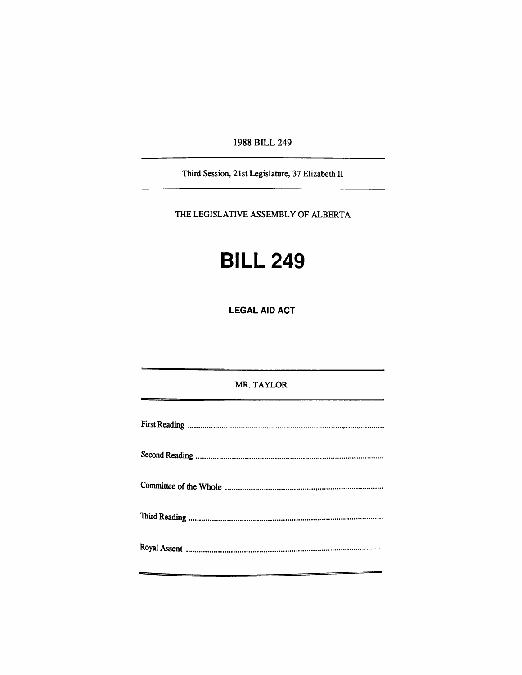1988 BILL 249

Third Session, 21st Legislature, 37 Elizabeth II

THE LEGISLATIVE ASSEMBLY OF ALBERTA

## **BILL 249**

**LEGAL AID ACT** 

## MR. TAYLOR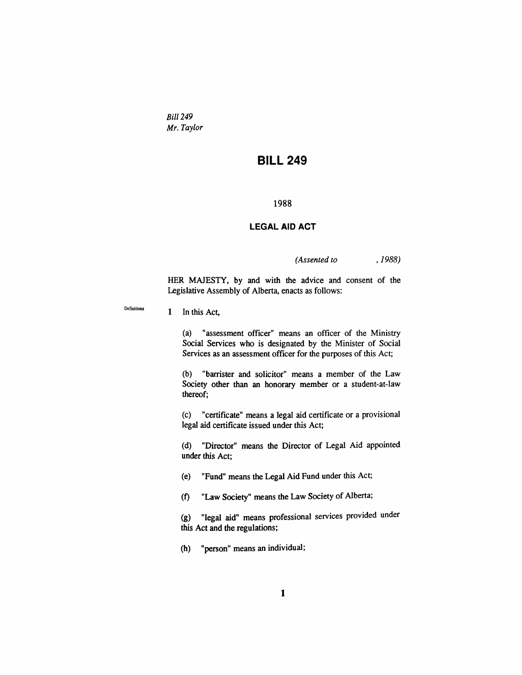*Bill 249 Mr. Taylor* 

## **BILL 249**

**1988** 

## **LEGAL AID ACT**

*(Assented to , 1988)* 

HER MAJESTY, by and with the advice and consent of the Legislative Assembly of Alberta, enacts as follows:

1 In this Act,

**Defuiitions** 

(a) "assessment officer" means an officer of die Ministry Social Services who is designated by die Minister of Social Services as an assessment officer for the purposes of this Act;

(b) "barrister and solicitor" means a member of the Law Society other than an honorary member or a student-at-law thereof;

(c) "certificate" means a legal aid certificate or a provisional legal aid certificate issued under this Act;

(d) "Director" means the Director of Legal Aid appointed under this Act;

(e) "Fund" means die Legal Aid Fund under diis Act;

(f) "Law Society" means the Law Society of Alberta;

(g) "legal aid" means professional services provided under this Act and the regulations;

(h) "person" means an mdividual;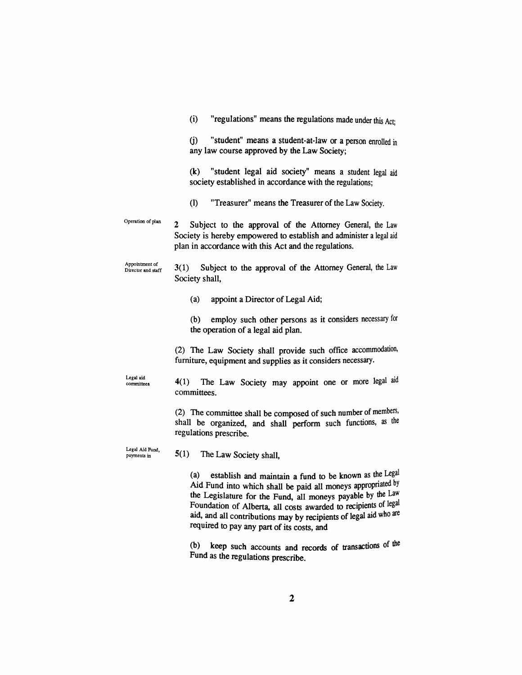$(i)$  "regulations" means the regulations made under this Act: (j) "student" means a student-at-law or a person enrolled in any law course approved by the Law Society; (k) "student legal aid society" means a student legal aid society established in accordance with the regulations; (1) "Treasurer" means the Treasurer of die Law Society. Operation of plan 2 Subject to the approval of the Attorney General, the Law Society is hereby empowered to establish and administer a legal aid plan in accordance with this Act and the regulations. Appointment of Director and staff Legal aid committees Legal Aid Fund, payments in 3(1) Subject to the approval of die Attomey General, the Law Society shall, (a) appoint a Director of Legal Aid; (b) employ such other persons as it considers necessary for the operation of a legal aid plan. (2) The Law Society shall provide such office accommodation, furniture, equipment and supplies as it considers necessary. 4(1) The Law Society may appoint one or more legal aid committees. (2) The committee shall be composed of such number of members, shall be organized, and shall perform such functions, as the regulations prescribe. 5( 1) The Law Society shall, (a) establish and maintain a fund to be known as the Legal

Aid Fund into which shall be paid all moneys appropriated by the Legislature for the Fund, all moneys payable by the Law Foundation of Alberta, all costs awarded to recipients of legal aid, and all contributions may by recipients of legal aid who are required to pay any part of its costs, and

 $(b)$  keep such accounts and records of transactions of the Fund as the regulations prescribe.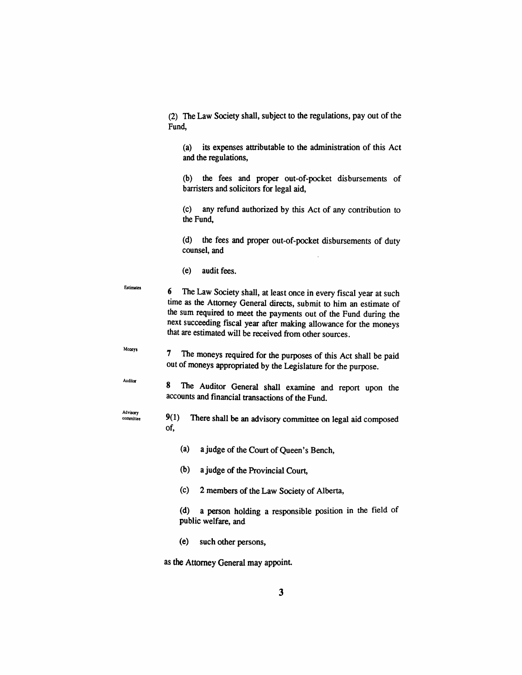(2) The Law Society shaU, subject to die regulations, pay out of the Fund,

(a) its expenses attributable to the administration of this Act and the regulations,

(b) die fees and proper out-of-pocket disbursements of barristers and solicitors for legal aid,

(c) any refimd authorized by this Act of any contribution to the Fund,

(d) the fees and proper out-of-pocket disbursements of duty counsel, and

(e) audit fees.

- **Estimates**  6 The Law Society shaU, at least once in every fiscal year at such time as the Attorney General directs, submit to him an estimate of the sum required to meet the payments out of the Fund during the next succeeding fiscal year after making allowance for the moneys that are estimated will be received from other sources.
	- 7 The moneys required for the purposes of this Act shall be paid out of moneys appropriated by die Legislature for die purpose.
- Auditor

**Moneys** 

8 The Auditor General shall examine and report upon the accounts and financial transactions of the Fund.

- Advisory<br>committee 9(1) There shall be an advisory committee on legal aid composed of,
	- (a) a judge of the Court of Queen's Bench,
	- (b) a judge of die Provincial Court,
	- (c) 2 members of the Law Society of Alberta,
	- (d) a person holding a responsible position in die field of public welfare, and
	- (e) such other persons,

as the Attomey General may appoint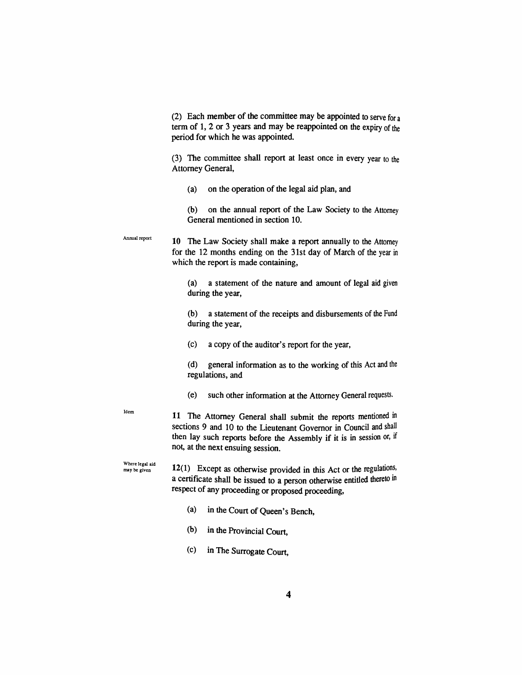(2) Each member of the committee may be appointed to serve for a term of 1, 2 or 3 years and may be reappointed on the expiry of the period for which he was appointed.

(3) The committee shall report at least once in every year to the Attomey General,

(a) on the operation of die legal aid plan, and

(b) on the annual report of the Law Society to die Attomey General mentioned in section 10.

**Annual report**  10 The Law Society shall make a report annually to the Attomey for die 12 months ending on die 31st day of March of the year in which the report is made containing,

> (a) a statement of the nature and amount of legal aid given during the year,

> (b) a statement of the receipts and disbursements of die Fund during the year,

(c) a copy of the auditor's report for die year,

(d) general information as to the working of this Act and the regulations, and

(e) such other mformation at the Attomey General requests.

**Idem** 

11 The Attorney General shall submit the reports mentioned in sections 9 and 10 to the Lieutenant Governor in Council and shall then lay such reports before the Assembly if it is in session or, if not, at die next ensuing session.

**Where legal aid may be given** 

12(1) Except as otherwise provided in this Act or the regulations, a certificate shall be issued to a person otherwise entitled thereto in respect of any proceeding or proposed proceeding,

- (a) in die Court of Queen's Bench,
- (b) in the Provincial Court,
- (c) in The Surrogate Court,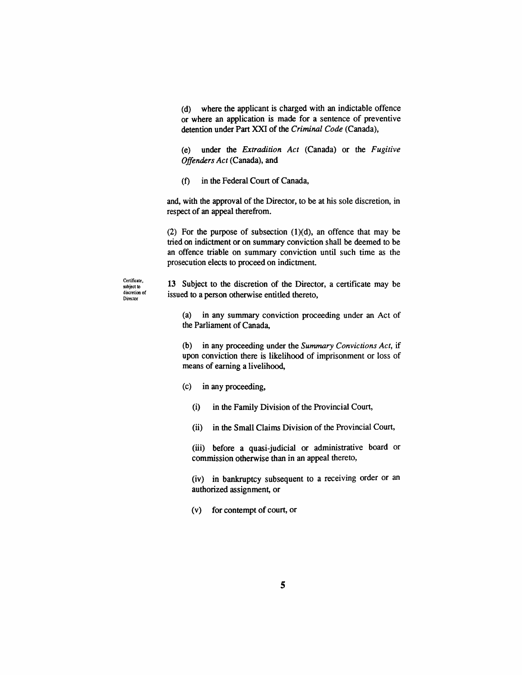(d) where the applicant is charged with an indictable offence or where an application is made for a sentence of preventive detention under Part XXI of the *Criminal Code* (Canada),

(e) under die *Extradition Act* (Canada) or the *Fugitive Offenders Act* (Canada), and

(f) in the Federal Court of Canada,

and, with the approval of the Director, to be at his sole discretion, in respect of an appeal therefrom.

(2) For the purpose of subsection  $(1)(d)$ , an offence that may be tried on indictment or on summary conviction shaU be deemed to be an offence triable on summary conviction until such time as the prosecution elects to proceed on indictment.

**discretion of Director** 

 $^{\text{Centificate}}$  13 Subject to the discretion of the Director, a certificate may be issued to a person otherwise entided thereto,

> (a) in any summary conviction proceeding under an Act of the Parliament of Canada.

> (b) in any proceeding under the *Summary Convictions Act,* if upon conviction there is likelihood of imprisonment or loss of means of earning a livelihood,

(c) in any proceeding,

(i) in the Family Division of the Provincial Court,

(ii) in the Small Claims Division of the Provincial Court,

(iii) before a quasi-judicial or administrative board or commission otherwise than in an appeal thereto,

(iv) in bankruptcy subsequent to a receiving order or an authorized assignment, or

(v) for contempt of court, or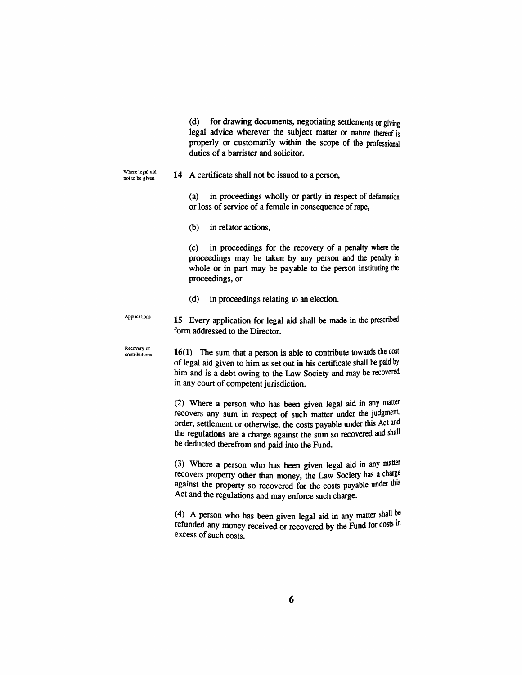(d) for drawing documents, negotiating setdements or giving legal advice wherever the subject matter or nature thereof is properly or customarily within die scope of die professional duties of a barrister and solicitor.

Where legal aid not to be given

14 A certificate shall not be issued to a person,

(a) in proceedings wholly or pardy in respect of defamation or loss of service of a female in consequence of rape.

(b) in relator actions.

(c) in proceedings for the recovery of a penalty where die proceedings may be taken by any person and the penalty in whole or in part may be payable to the person instituting the proceedings, or

(d) in proceedmgs relating to an election.

Applications 15 Every application for legal aid shall be made in the prescribed form addressed to the Director.

Recovery of contributions  $16(1)$  The sum that a person is able to contribute towards the cost of legal aid given to him as set out in his certificate shall be paid by him and is a debt owing to the Law Society and may be recovered in any court of competent jurisdiction.

> (2) Where a person who has been given legal aid in any matter recovers any sum in respect of such matter under the judgment, order, settlement or otherwise, the costs payable under this Act and the regulations are a charge against the sum so recovered and shall be deducted therefrom and paid into the Fund.

> (3) Where a person who has been given legal aid in any matter recovers property other than money, the Law Society has a charge against the property so recovered for the costs payable under this Act and the regulations and may enforce such charge.

> (4) A person who has been given legal aid in any matter shall be refunded any money received or recovered by the Fund for costs in excess of such costs.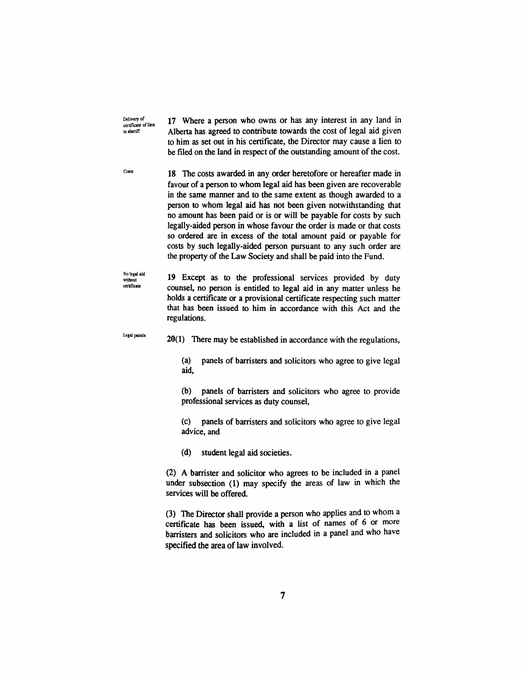Delivery of **17** Where a person who owns or has any interest in any land in *lo sheriff* **c**  $\alpha$  *Alberta has agreed to contribute towards the cost of legal aid given* to him as set out in his certificate, the Director may cause a lien to to him as set out in his certificate, the Director may cause a field to<br>he filed on the land in manage of the outstanding amount of the cost be filed on the land in respect of die outstanding amount of the cost.

<sup>Costs</sup> 18 The costs awarded in any order heretofore or hereafter made in favour of a person to whom legal aid has been given are recoverable in die same manner and to the same extent as diough awarded to a person to whom legal aid has not been given notwithstanding that no amount has been paid or is or wiU be payable for costs by such legally-aided person in whose favour the order is made or that costs so ordered are in excess of the total amount paid or payable for costs by such legaUy-aided person pursuant to any such order are the property of the Law Society and shall be paid into the Fund.

**No legal aid without cerlirictte**  19 Except as to the professional services provided by duty counsel, no person is entided to legal aid in any matter unless he holds a certificate or a provisional certificate respecting such matter that has been issued to him in accordance with this Act and the regulations.

**Legal panels** 20(1) There may be established in accordance with the regulations.

(a) panels of barristers and solicitors who agree to give legal aid,

(b) panels of barristers and solicitors who agree to provide professional services as duty counsel,

(c) panels of barristers and solicitors who agree to give legal advice, and

(d) student legal aid societies.

 $(2)$  A barrister and solicitor who agrees to be included in a panel under subsection (1) may specify the areas of law in which the services will be offered.

(3) The Director shall provide a person who applies and to whom a certificate has been issued, with a list of names of  $6$  or more barristers and solicitors who are included in a panel and who have specified the area of law involved.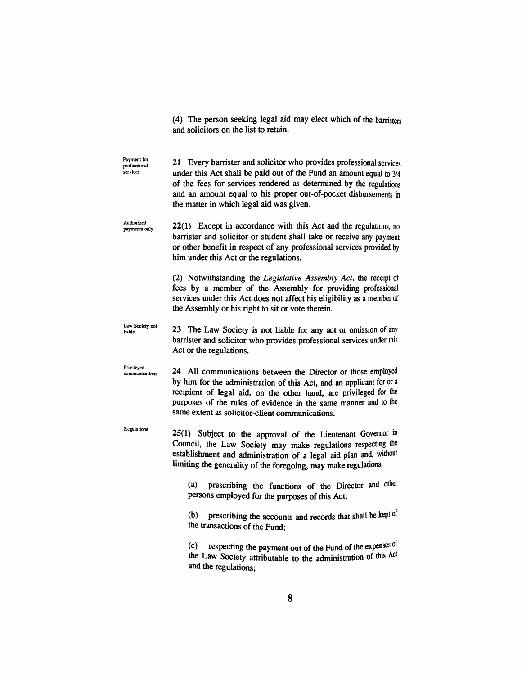(4) The person seeking legal aid may elect which of die barristers and solicitors on the list to retain.

**Payment for** 

**Payment for 21** Every barrister and solicitor who provides professional services services under this Act shall be paid out of the Fund an amount equal to  $3/4$ of the fees for services rendered as determined by die regulations and an amount equal to his proper out-of-pocket disbursements in the matter in which legal aid was given. **Authorized**  22(1) Except in accordance with this Act and the regulations, no **payments only**  barrister and solicitor or student shall take or receive any payment or other benefit in respect of any professional services provided by him under this Act or the regulations. (2) Notwithstanding the *Legislative Assembly Act,* die receipt of fees by a member of the Assembly for providing professional services under this Act does not affect his eligibility as a member of the Assembly or his right to sit or vote therein. **Law Society not**  23 The Law Society is not liable for any act or omission of any liable barrister and solicitor who provides professional services under this Act or the regulations. **Privileged**  24 All communications between the Director or those employed **communications**  by him for the administration of this Act, and an applicant for or a recipient of legal aid, on the other hand, are privileged for the purposes of the rules of evidence in the same manner and to the same extent as solicitor-client communications. **Regulations**   $25(1)$  Subject to the approval of the Lieutenant Governor in Council, the Law Society may make regulations respecting the establishment and administration of a legal aid plan and, without limiting the generality of the foregoing, may make regulations, (a) prescribing the functions of the Director and other persons employed for die purposes of diis Act; (b) prescribing the accounts and records that shall be kept of the transactions of the Fund; (c) respecting die payment out of die Fund of die expenses of

the Law Society attributable to the administration of this Act and the regulations;